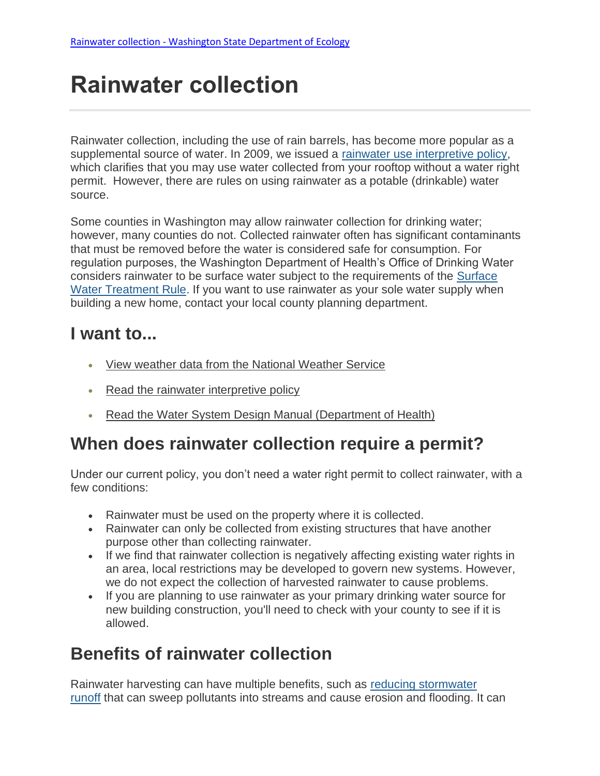# **Rainwater collection**

Rainwater collection, including the use of rain barrels, has become more popular as a supplemental source of water. In 2009, we issued a [rainwater use interpretive policy,](https://fortress.wa.gov/ecy/wrdocs/WaterRights/wrwebpdf/pol1017.pdf) which clarifies that you may use water collected from your rooftop without a water right permit. However, there are rules on using rainwater as a potable (drinkable) water source.

Some counties in Washington may allow rainwater collection for drinking water; however, many counties do not. Collected rainwater often has significant contaminants that must be removed before the water is considered safe for consumption. For regulation purposes, the Washington Department of Health's Office of Drinking Water considers rainwater to be surface water subject to the requirements of the [Surface](https://www.doh.wa.gov/portals/1/Documents/pubs/331-085.pdf)  [Water Treatment Rule.](https://www.doh.wa.gov/portals/1/Documents/pubs/331-085.pdf) If you want to use rainwater as your sole water supply when building a new home, contact your local county planning department.

### **I want to...**

- [View weather data from the National Weather Service](https://www.weather.gov/)
- [Read the rainwater interpretive policy](https://fortress.wa.gov/ecy/wrdocs/WaterRights/wrwebpdf/pol1017.pdf)
- [Read the Water System Design Manual \(Department of Health\)](https://www.doh.wa.gov/Portals/1/Documents/Pubs/331-123.pdf?ver=2019-10-03-153237-220)

### **When does rainwater collection require a permit?**

Under our current policy, you don't need a water right permit to collect rainwater, with a few conditions:

- Rainwater must be used on the property where it is collected.
- Rainwater can only be collected from existing structures that have another purpose other than collecting rainwater.
- If we find that rainwater collection is negatively affecting existing water rights in an area, local restrictions may be developed to govern new systems. However, we do not expect the collection of harvested rainwater to cause problems.
- If you are planning to use rainwater as your primary drinking water source for new building construction, you'll need to check with your county to see if it is allowed.

### **Benefits of rainwater collection**

Rainwater harvesting can have multiple benefits, such as [reducing stormwater](https://ecology.wa.gov/Water-Shorelines/Water-quality/Runoff-pollution/Stormwater)  [runoff](https://ecology.wa.gov/Water-Shorelines/Water-quality/Runoff-pollution/Stormwater) that can sweep pollutants into streams and cause erosion and flooding. It can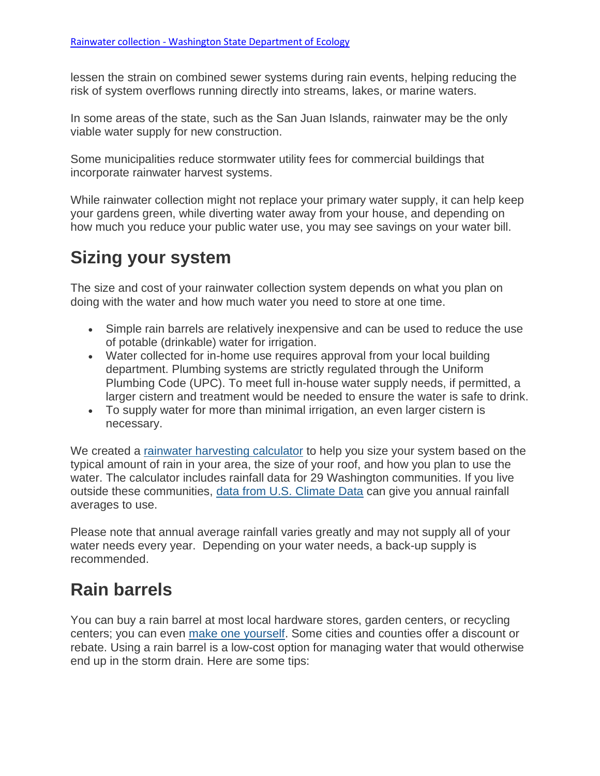lessen the strain on combined sewer systems during rain events, helping reducing the risk of system overflows running directly into streams, lakes, or marine waters.

In some areas of the state, such as the San Juan Islands, rainwater may be the only viable water supply for new construction.

Some municipalities reduce stormwater utility fees for commercial buildings that incorporate rainwater harvest systems.

While rainwater collection might not replace your primary water supply, it can help keep your gardens green, while diverting water away from your house, and depending on how much you reduce your public water use, you may see savings on your water bill.

# **Sizing your system**

The size and cost of your rainwater collection system depends on what you plan on doing with the water and how much water you need to store at one time.

- Simple rain barrels are relatively inexpensive and can be used to reduce the use of potable (drinkable) water for irrigation.
- Water collected for in-home use requires approval from your local building department. Plumbing systems are strictly regulated through the Uniform Plumbing Code (UPC). To meet full in-house water supply needs, if permitted, a larger cistern and treatment would be needed to ensure the water is safe to drink.
- To supply water for more than minimal irrigation, an even larger cistern is necessary.

We created a [rainwater harvesting calculator](https://fortress.wa.gov/ecy/wrdocs/WaterRights/wrwebpdf/ecy_rwcalc.xlsm) to help you size your system based on the typical amount of rain in your area, the size of your roof, and how you plan to use the water. The calculator includes rainfall data for 29 Washington communities. If you live outside these communities, [data from U.S. Climate Data](http://www.usclimatedata.com/climate/united-states/us) can give you annual rainfall averages to use.

Please note that annual average rainfall varies greatly and may not supply all of your water needs every year. Depending on your water needs, a back-up supply is recommended.

# **Rain barrels**

You can buy a rain barrel at most local hardware stores, garden centers, or recycling centers; you can even [make one yourself.](https://ecology.wa.gov/Blog/Posts/November-2015/Rain-barrels-I-took-the-do-it-yourself-challenge) Some cities and counties offer a discount or rebate. Using a rain barrel is a low-cost option for managing water that would otherwise end up in the storm drain. Here are some tips: